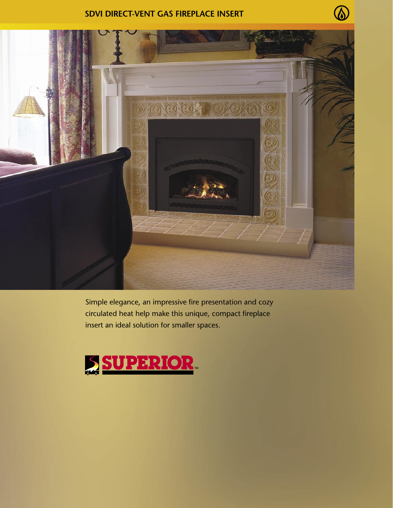## **SDVI direct-vent Gas Fireplace Insert**

 $\mathcal{D}$ 



Simple elegance, an impressive fire presentation and cozy circulated heat help make this unique, compact fireplace insert an ideal solution for smaller spaces.